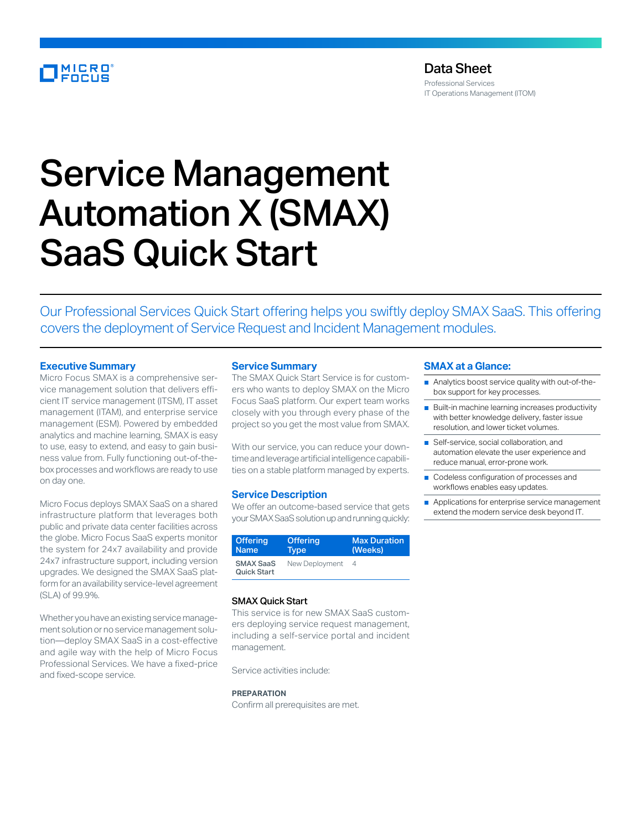## MICRO<br>FOCUS

### Data Sheet

Professional Services IT Operations Management (ITOM)

# Service Management Automation X (SMAX) SaaS Quick Start

Our Professional Services Quick Start offering helps you swiftly deploy SMAX SaaS. This offering covers the deployment of Service Request and Incident Management modules.

#### **Executive Summary**

Micro Focus SMAX is a comprehensive service management solution that delivers efficient IT service management (ITSM), IT asset management (ITAM), and enterprise service management (ESM). Powered by embedded analytics and machine learning, SMAX is easy to use, easy to extend, and easy to gain business value from. Fully functioning out-of-thebox processes and workflows are ready to use on day one.

Micro Focus deploys SMAX SaaS on a shared infrastructure platform that leverages both public and private data center facilities across the globe. Micro Focus SaaS experts monitor the system for 24x7 availability and provide 24x7 infrastructure support, including version upgrades. We designed the SMAX SaaS platform for an availability service-level agreement (SLA) of 99.9%.

Whether you have an existing service management solution or no service management solution—deploy SMAX SaaS in a cost-effective and agile way with the help of Micro Focus Professional Services. We have a fixed-price and fixed-scope service.

#### **Service Summary**

The SMAX Quick Start Service is for customers who wants to deploy SMAX on the Micro Focus SaaS platform. Our expert team works closely with you through every phase of the project so you get the most value from SMAX.

With our service, you can reduce your downtime and leverage artificial intelligence capabilities on a stable platform managed by experts.

#### **Service Description**

We offer an outcome-based service that gets your SMAX SaaS solution up and running quickly:

| <b>Offering</b>                        | <b>Offering</b> | <b>Max Duration</b> |
|----------------------------------------|-----------------|---------------------|
| <b>Name</b>                            | Tvpe            | (Weeks)             |
| <b>SMAX SaaS</b><br><b>Quick Start</b> | New Deployment  | 4                   |

#### SMAX Quick Start

This service is for new SMAX SaaS customers deploying service request management, including a self-service portal and incident management.

Service activities include:

#### **PREPARATION**

Confirm all prerequisites are met.

#### **SMAX at a Glance:**

- Analytics boost service quality with out-of-thebox support for key processes.
- Built-in machine learning increases productivity with better knowledge delivery, faster issue resolution, and lower ticket volumes.
- Self-service, social collaboration, and automation elevate the user experience and reduce manual, error-prone work.
- Codeless configuration of processes and workflows enables easy updates.
- Applications for enterprise service management extend the modern service desk beyond IT.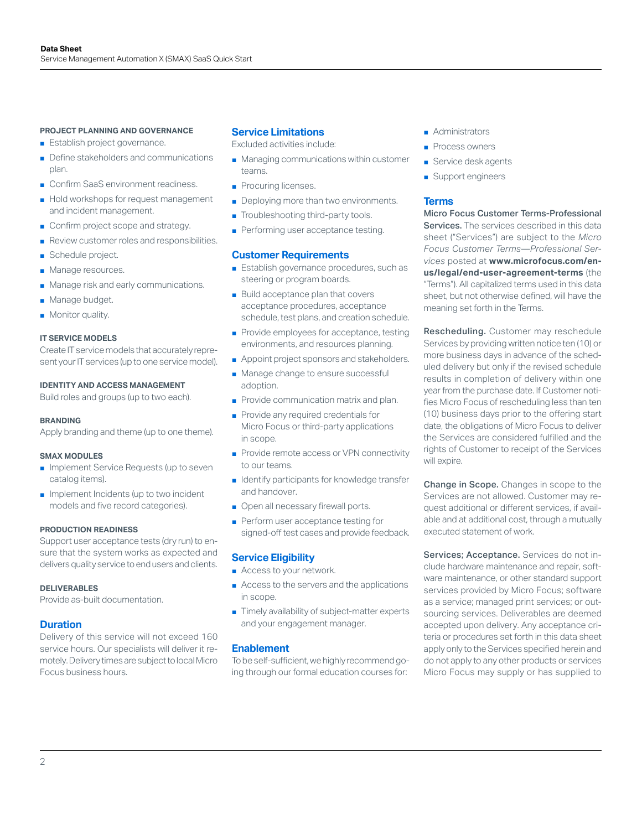#### **PROJECT PLANNING AND GOVERNANCE**

- Establish project governance.
- Define stakeholders and communications plan.
- Confirm SaaS environment readiness.
- Hold workshops for request management and incident management.
- Confirm project scope and strategy.
- Review customer roles and responsibilities.
- Schedule project.
- Manage resources.
- Manage risk and early communications.
- Manage budget.
- Monitor quality.

#### **IT SERVICE MODELS**

Create IT service models that accurately represent your IT services (up to one service model).

#### **IDENTITY AND ACCESS MANAGEMENT**

Build roles and groups (up to two each).

#### **BRANDING**

Apply branding and theme (up to one theme).

#### **SMAX MODULES**

- Implement Service Requests (up to seven catalog items).
- Implement Incidents (up to two incident models and five record categories).

#### **PRODUCTION READINESS**

Support user acceptance tests (dry run) to ensure that the system works as expected and delivers quality service to end users and clients.

#### **DELIVERABLES**

Provide as-built documentation.

#### **Duration**

Delivery of this service will not exceed 160 service hours. Our specialists will deliver it remotely. Delivery times are subject to local Micro Focus business hours.

#### **Service Limitations**

Excluded activities include:

- Managing communications within customer teams.
- Procuring licenses.
- Deploying more than two environments.
- Troubleshooting third-party tools.
- Performing user acceptance testing.

#### **Customer Requirements**

- Establish governance procedures, such as steering or program boards.
- Build acceptance plan that covers acceptance procedures, acceptance schedule, test plans, and creation schedule.
- Provide employees for acceptance, testing environments, and resources planning.
- Appoint project sponsors and stakeholders.
- Manage change to ensure successful adoption.
- Provide communication matrix and plan.
- Provide any required credentials for Micro Focus or third-party applications in scope.
- Provide remote access or VPN connectivity to our teams.
- Identify participants for knowledge transfer and handover.
- Open all necessary firewall ports.
- Perform user acceptance testing for signed-off test cases and provide feedback.

#### **Service Eligibility**

- Access to your network.
- Access to the servers and the applications in scope.
- Timely availability of subject-matter experts and your engagement manager.

#### **Enablement**

To be self-sufficient, we highly recommend going through our formal education courses for:

- Administrators
- Process owners
- Service desk agents
- Support engineers

#### **Terms**

Micro Focus Customer Terms-Professional Services. The services described in this data sheet ("Services") are subject to the *Micro Focus Customer Terms—Professional Services* posted at **[www.microfocus.com/en](https://www.microfocus.com/en-us/legal/end-user-agreement-terms)[us/legal/end-user-agreement-terms](https://www.microfocus.com/en-us/legal/end-user-agreement-terms)** (the "Terms"). All capitalized terms used in this data sheet, but not otherwise defined, will have the meaning set forth in the Terms.

Rescheduling. Customer may reschedule Services by providing written notice ten (10) or more business days in advance of the scheduled delivery but only if the revised schedule results in completion of delivery within one year from the purchase date. If Customer notifies Micro Focus of rescheduling less than ten (10) business days prior to the offering start date, the obligations of Micro Focus to deliver the Services are considered fulfilled and the rights of Customer to receipt of the Services will expire.

Change in Scope. Changes in scope to the Services are not allowed. Customer may request additional or different services, if available and at additional cost, through a mutually executed statement of work.

Services; Acceptance. Services do not include hardware maintenance and repair, software maintenance, or other standard support services provided by Micro Focus; software as a service; managed print services; or outsourcing services. Deliverables are deemed accepted upon delivery. Any acceptance criteria or procedures set forth in this data sheet apply only to the Services specified herein and do not apply to any other products or services Micro Focus may supply or has supplied to